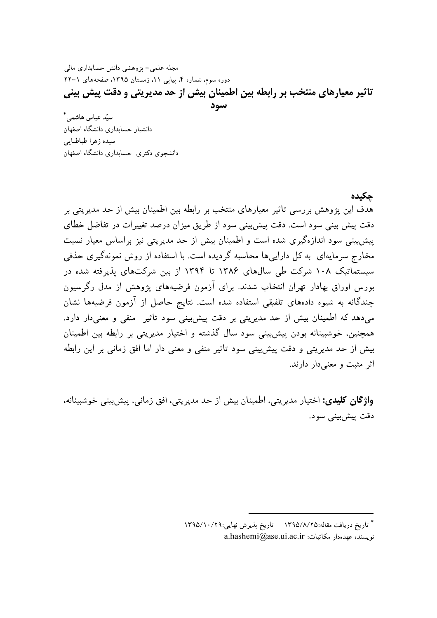مجله علمی- پژوهشی دانش حسابداری مالی دوره سوم، شماره ۴، پیاپی ۱۱، زمستان ۱۳۹۵، صفحههای ۱–۲۲ تاثیر معیارهای منتخب بر رابطه بین اطمینان بیش از حد مدیریتی و دقت پیش بینی

سود

سیّد عباس هاشمے,\* دانشیار حسابداری دانشگاه اصفهان سيده زهرا طباطبايي دانشجوى دكترى حسابدارى دانشگاه اصفهان

جكيده

هدف این پژوهش بررسی تاثیر معیارهای منتخب بر رابطه بین اطمینان بیش از حد مدیریتی بر دقت پیش بینی سود است. دقت پیشبینی سود از طریق میزان درصد تغییرات در تفاضل خطای پیش پینی سود اندازهگیری شده است و اطمینان بیش از حد مدیریتی نیز براساس معیار نسبت مخارج سرمایهای به کل داراییها محاسبه گردیده است. با استفاده از روش نمونهگیری حذفی سیستماتیک ۱۰۸ شرکت طی سالهای ۱۳۸۶ تا ۱۳۹۴ از بین شرکتهای پذیرفته شده در بورس اوراق بهادار تهران انتخاب شدند. برای آزمون فرضیههای یژوهش از مدل رگرسیون چندگانه به شیوه دادههای تلفیقی استفاده شده است. نتایج حاصل از آزمون فرضیهها نشان می دهد که اطمینان بیش از حد مدیریتی بر دقت پیش بینی سود تاثیر ً منفی و معنی دار دارد. همچنین، خوشبینانه بودن پیشبینی سود سال گذشته و اختیار مدیریتی بر رابطه بین اطمینان بیش از حد مدیریتی و دقت پیش بینی سود تاثیر منفی و معنی دار اما افق زمانی بر این رابطه اثر مثبت و معنىدار دارند.

واژگان کلیدی: اختیار مدیریتی، اطمینان بیش از حد مدیریتی، افق زمانی، پیشبینی خوشبینانه، دقت پيش بينې سود.

<sup>\*</sup> تاريخ دريافت مقاله:١٣٩٥/٨/٢٥ = تاريخ پذيرش نهايي:١٣٩٥/١٠/٢٩  $a. has hemi@ase.ui.ac.ir : a. hashemi@ase.$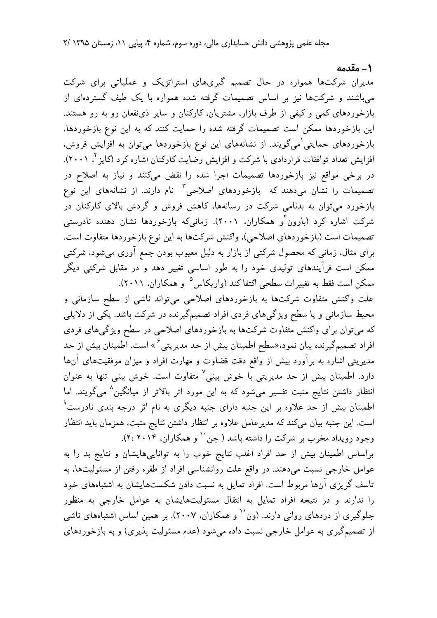1- مقدمه

سوم، شماره ۴، پیاپی ۱۱، زمستان ۱۳۹۵ /۲<br>ستراتژیک و عملیاتی برای شرکت<br>ه همواره با یک طیف گستردهای از<br>ان و سایر ذی:فعان رو به رو هستند.<br>ایت کنند که به این نوع بازخوردها،<br>ایت کنند که به این نوع بازخوردها، مدیران شرکتها همواره در حال تصمیم گیریهای استراتژیک و عملیاتی برای شرکت میباشند و شرکتها نیز بر اساس تصمیمات گرفته شده همواره با یک طیف گستردهای از بازخوردهای کمی و کیفی از طرف بازار، مشتریان، کارکنان و سایر ذینفعان رو به رو هستند. این بازخوردها ممکن است تصمیمات گرفته شده را حمایت کنند که به این نوع بازخوردها، بازخوردهای حمایتی<sup>'</sup>میگویند. از نشانههای این نوع بازخوردها میتوان به افزایش فروش، افزایش تعداد توافقات قراردادی با شرکت و افزایش رضایت کارکنان اشاره کرد (کایز <sup>۲</sup>، ۲۰۰۱). در برخی مواقع نیز بازخوردها تصمیمات اجرا شده را نقض میکنند و نیاز به اصلاح در تصمیمات را نشان میدهند که بازخوردهای اصلاحی<sup>۳</sup> نام دارند. از نشانههای این نوع بازخورد میتوان به بدنامی شرکت در رسانهها، کاهش فروش و گردش بالای کارکنان در شرکت اشاره کرد (بارون ٌو همکاران، ۲۰۰۱). زمانی4ه بازخوردها نشان دهنده نادرستی تصميمات است (بازخوردهاي اصلاحي)، واكنش شركتها به اين نوع بازخوردها متفاوت است. برای مثال. زمانی که محصول شرکتی از بازار به دلیل معیوب بودن جمع آوری میشود. شرکتی ممکن است فرآیندهای تولیدی خود را به طور اساسی تغییر دهد و در مقابل شرکتی دیگر ممکن است فقط به تغییرات سطحی اکتفا کند (واریکاس<sup>۵</sup> و همکاران، ۲۰۱۱).

> علت واکنش متفاوت شرکتها به بازخوردهای اصلاحی میتواند ناشی از سطح سازمانی و محیط سازمانی و یا سطح ویژگیهای فردی افراد تصمیمگیرنده در شرکت باشد. یکی از دلایلی که میتوان برای واکنش متفاوت شرکتها به بازخوردهای اصلاحی در سطح ویژگیهای فردی افراد تصمیمگیرنده بیان نمود،«سطح اطمینان بیش از حد مدیریتی<sup>۶</sup>» است. اطمینان بیش از حد مدیریتی اشاره به برآورد بیش از واقع دقت قضاوت و مهارت افراد و میزان موفقیتهای آنها دارد. اطمینان بیش از حد مدیریتی با خوش بینی<sup>۷</sup> متفاوت است. خوش بینی تنها به عنوان انتظار داشتن نتایج مثبت تفسیر میشود که به این مورد اثر بالاتر از میانگین<sup>۸</sup> میگویند. اما اطمینان بیش از حد علاوه بر این جنبه دارای جنبه دیگری به نام اثر درجه بندی نادرست<sup>۹</sup> است. این جنبه بیان میکند که مدیرعامل علاوه بر انتظار داشتن نتایج مثبت، همزمان باید انتظار وجود رویداد مخرب بر شرکت را داشته باشد ( چن <sup>۱۰</sup> و همکاران، ۲۰۱۴ :۲).

> براساس اطمینان بیش از حد افراد اغلب نتایج خوب را به تواناییهایشان و نتایج بد را به عوامل خارجیی نسبت میدهند. در واقع علت روانشناسی افراد از طفره رفتن از مسئولیتها، به تاسف گریزی آنها مربوط است. افراد تمایل به نسبت دادن شکستهایشان به اشتباههای خود را ندارند و در نتیجه افراد تمایل به انتقال مسئولیتهایشان به عوامل خارجی به منظور جلوگیری از دردهای روانی دارند. (ون<sup>۱۱</sup> و همکاران، ۲۰۰۷). بر همین اساس اشتباههای ناشی از تصمیمگیری به عوامل خارجی نسبت داده میشود (عدم مسئولیت پذیری) و به بازخوردهای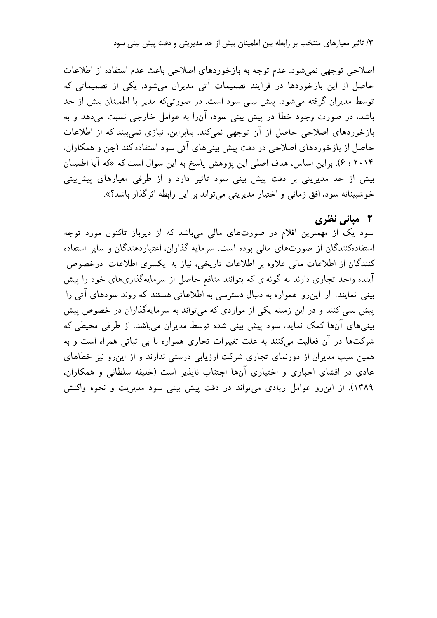۳/ تاثیر معیارهای منتخب بر رابطه بین اطمینان بیش از حد مدیریتی و دقت پیش بینی سود

اصلاحی توجهی نمی شود. عدم توجه به بازخوردهای اصلاحی باعث عدم استفاده از اطلاعات حاصل از این بازخوردها در فرآیند تصمیمات آتی مدیران میشود. یکی از تصمیماتی که توسط مدیران گرفته می شود، پیش بینی سود است. در صورتی که مدیر با اطمینان بیش از حد باشد، در صورت وجود خطا در پیش بینی سود، آنLا به عوامل خارجی نسبت میدهد و به بازخوردهای اصلاحی حاصل از آن توجهی نمی کند. بنابراین، نیازی نمی بیند که از اطلاعات حاصل از بازخوردهای اصلاحی در دقت پیش بینیهای آتی سود استفاده کند (چن و همکاران، ۰۲۰۱۴ ج). براین اساس، هدف اصلی این پژوهش پاسخ به این سوال است که «که آیا اطمینان بیش از حد مدیریتی بر دقت پیش بینی سود تاثیر دارد و از طرفی معیارهای پیشبینی خوشبینانه سود، افق زمانی و اختیار مدیریتی می تواند بر این رابطه اثرگذار باشد؟».

## ۲- مبانی نظری

سود یک از مهمترین اقلام در صورتهای مالی میباشد که از دیرباز تاکنون مورد توجه استفادهکنندگان از صورتهای مالی بوده است. سرمایه گذاران، اعتباردهندگان و سایر استفاده کنندگان از اطلاعات مالی علاوه بر اطلاعات تاریخی، نیاز به یکسری اطلاعات درخصوص آینده واحد تجاری دارند به گونهای که بتوانند منافع حاصل از سرمایهگذاریهای خود را پیش بینی نمایند. از این رو همواره به دنبال دسترسی به اطلاعاتی هستند که روند سودهای آتی را بیش بینی کنند و در این زمینه یکی از مواردی که می تواند به سرمایهگذاران در خصوص بیش بینیهای آنها کمک نماید، سود پیش بینی شده توسط مدیران میباشد. از طرفی محیطی که شرکتها در آن فعالیت میکنند به علت تغییرات تجاری همواره با بی ثباتی همراه است و به همین سبب مدیران از دورنمای تجاری شرکت ارزیابی درستی ندارند و از این رو نیز خطاهای عادی در افشای اجباری و اختیاری آنها اجتناب ناپذیر است (خلیفه سلطانی و همکاران، ١٣٨٩). از اين رو عوامل زيادي مي تواند در دقت پيش بيني سود مديريت و نحوه واكنش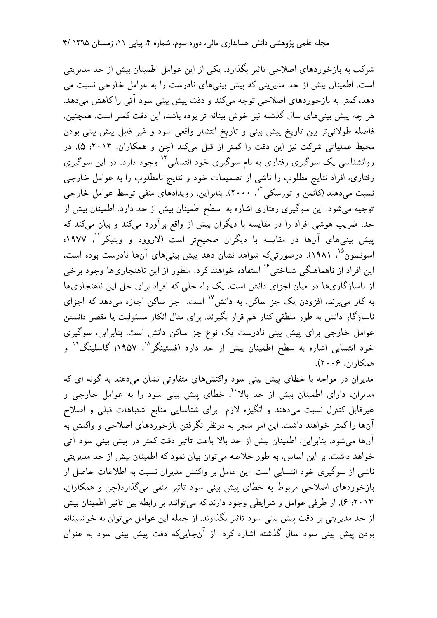**مجله علمی پژوهشی دانش حسابداری مالی، دوره سوم،** شما

سوم، شماره ۴، پیاپی ۱۱، زمستان ۱۳۹۵ /۴<br>عوامل اطمینان بیش از حد مدیریتی<br>رست را به عوامل خارجی نسبت می<br>پش بینی سود آتی را کاهش میدهد.<br>، باشد، این دقت کمتر است. همچنین،<br>می سود و غیر قابل پیش بینی بودن<br>ند (حن و همکاران، ۲۰۱۴: شرکت به بازخوردهای اصلاحی تاثیر بگذارد. یکی از این عوامل اطمینان بیش از حد مدیریتی است. اطمینان بیش از حد مدیریتی که پیش بینیهای نادرست را به عوامل خارجی نسبت می دهد، کمتر به بازخوردهای اصلاحی توجه میکند و دقت پیش بینی سود آتی را کاهش میدهد. هر چه پیش بینیهای سال گذشته نیز خوش بینانه تر بوده باشد، این دقت کمتر است. همچنین، فاصله طولاني تر بين تاريخ ييش بيني و تاريخ انتشار واقعي سود و غير قابل پيش بيني بودن محیط عملیاتی شرکت نیز این دقت را کمتر از قبل میکند (چن و همکاران، ۲۰۱۴: ۵). در روانشناسی یک سوگیری رفتاری به نام سوگیری خود انتسابی<sup>۱۲</sup> وجود دارد. در این سوگیری رفتاری، افراد نتایج مطلوب را ناشی از تصمیمات خود و نتایج نامطلوب را به عوامل خارجی نسبت میدهند (کانمن و تورسکی<sup>۱۲</sup>، ۲۰۰۰). بنابراین، رویدادهای منفی توسط عوامل خارجی توجیه میشود. این سوگیری رفتاری اشاره به سطح اطمینان بیش از حد دارد. اطمینان بیش از حد، ضریب هوشی افراد را در مقایسه با دیگران بیش از واقع برآورد میکند و بیان میکند که پیش بینیهای آنها در مقایسه با دیگران صحیحتر است (لاروود و ویتیکر<sup>۱۴</sup>، ۱۹۷۷: اسونسون<sup>۱۵</sup>، ۱۹۸۱). درصورت<sub>م</sub>که شواهد نشان دهد پیش بینیهای آنها نادرست بوده است، این افراد از ناهماهنگی شناختی<sup>۱۶</sup> استفاده خواهند کرد. منظور از این ناهنجاریها وجود برخی از ناسازگاریها در میان اجزای دانش است. یک راه حلی که افراد برای حل این ناهنجاریها به کار میبرند، افزودن یک جز ساکن، به دانش<sup>۱۷</sup> است. جز ساکن اجازه میدهد که اجزای ناسازگار دانش به طور منطقی کنار هم قرار بگیرند. برای مثال انکار مسئولیت یا مقصر دانستن عوامل خارجی برای پیش بینی نادرست یک نوع جز ساکن دانش است. بنابراین، سوگیری خود انتسابی اشاره به سطح اطمینان بیش از حد دارد (فستینگر<sup>۱۸</sup> ، ۱۹۵۷؛ گاسلینگ<sup>۱۹</sup> و  $(5 \cdot 5 \cdot 7)$ همکاران  $(5 \cdot 7 \cdot 7)$ 

> مدیران در مواجه با خطای پیش بینی سود واکنشهای متفاوتی نشان می،دهند به گونه ای که مدیران، دارای اطمینان بیش از حد بالاً <sup>۲۰</sup>. خطای پیش بینی سود را به عوامل خارجی و غیرقابل کنترل نسبت میدهند و انگیزه لازم برای شناسایی منابع اشتباهات قبلی و اصلاح آنها را کمتر خواهند داشت. این امر منجر به درنظر نگرفتن بازخوردهای اصلاحی و واکنش به آنها میشود. بنابراین، اطمینان بیش از حد بالا باعث تاثیر دقت کمتر در پیش بینی سود آتی خواهد داشت. بر این اساس، به طور خلاصه میتوان بیان نمود که اطمینان بیش از حد مدیریتی ناشی از سوگیری خود انتسابی است. این عامل بر واکنش مدیران نسبت به اطلاعات حاصل از بازخوردهاي اصلاحي مربوط به خطاي پيش بيني سود تاثير منفي ميگذارد(چن و همكاران. ۲۰۱۴: ۶). از طرفی عوامل و شرایطی وجود دارند که می توانند بر رابطه بین تاثیر اطمینان بیش از حد مدیریتی بر دقت پیش بینی سود تاثیر بگذارند. از جمله این عوامل میتوان به خوشبینانه بودن پیش بینی سود سال گذشته اشاره کرد. از آنجایی که دقت پیش بینی سود به عنوان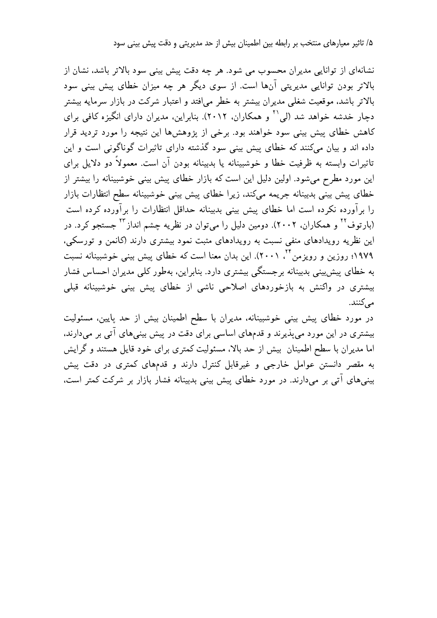۵/ تاثیر معیارهای منتخب بر رابطه بین اطمینان بیش از حد مدیریتی و دقت پیش بینی سود

نشانهای از توانایی مدیران محسوب می شود. هر چه دقت پیش بینی سود بالاتر باشد، نشان از بالاتر بودن توانایی مدیریتی آنها است. از سوی دیگر هر چه میزان خطای پیش بینی سود بالاتر باشد، موقعیت شغلی مدیران بیشتر به خطر می|فتد و اعتبار شرکت در بازار سرمایه بیشتر دچار خدشه خواهد شد (لمی<sup>۲۱</sup> و همکاران، ۲۰۱۲). بنابراین، مدیران دارای انگیزه کافی برای کاهش خطای پیش بینی سود خواهند بود. برخی از پژوهشها این نتیجه را مورد تردید قرار داده اند و بیان میکنند که خطای پیش بینی سود گذشته دارای تاثیرات گوناگونی است و این تاثیرات وابسته به ظرفیت خطا و خوشبینانه یا بدبینانه بودن آن است. معمولاً دو دلایل برای این مورد مطرح میشود. اولین دلیل این است که بازار خطای پیش بینی خوشبینانه را بیشتر از خطاي پيش بيني بدبينانه جريمه مىكند، زيرا خطاي پيش بيني خوشبينانه سطح انتظارات بازار را برآورده نکرده است اما خطای پیش بینی بدبینانه حداقل انتظارات را برآورده کرده است (بارتوف<sup>۲۲</sup> و همکاران، ۲۰۰۲). دومین دلیل را میتوان در نظریه چشم انداز<sup>۲۳</sup> جستجو کرد. در این نظریه رویدادهای منفی نسبت به رویدادهای مثبت نمود بیشتری دارند (کانمن و تورسکی، ۱۹۷۹؛ روزین و رویزمن ۲٬ ۲۰۰۱). این بدان معنا است که خطای پیش بینی خوشبینانه نسبت به خطای پیش بینی بدبینانه برجستگی بیشتری دارد. بنابراین، بهطور کلی مدیران احساس فشار بیشتری در واکنش به بازخوردهای اصلاحی ناشی از خطای پیش بینی خوشبینانه قبلی مے کنند.

در مورد خطای پیش بینی خوشبینانه، مدیران با سطح اطمینان بیش از حد پایین، مسئولیت بیشتری در این مورد می پذیرند و قدمهای اساسی برای دقت در پیش بینیهای آتی بر میدارند، اما مدیران با سطح اطمینان بیش از حد بالا، مسئولیت کمتری برای خود قایل هستند و گرایش به مقصر دانستن عوامل خارجی و غیرقابل کنترل دارند و قدمهای کمتری در دقت پیش بینیهای آتی بر میدارند. در مورد خطای پیش بینی بدبینانه فشار بازار بر شرکت کمتر است،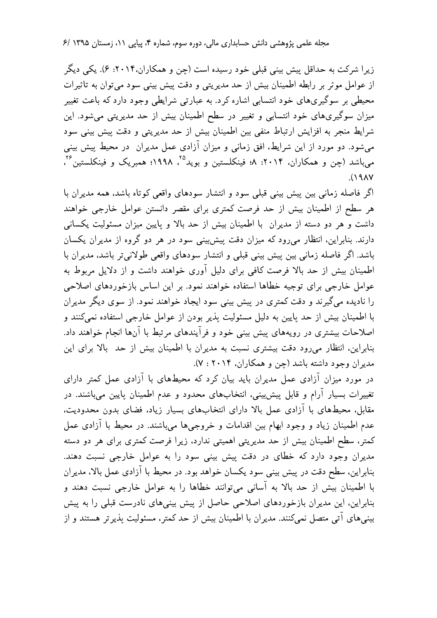**مجله علمی پژوهشی دانش حسابداری مالی، دوره سوم،** شما

سوم، شماره ۴، پیاپی ۱۱، زمستان ۱۳۹۵ /۶<br>بن و همکاران،۲۰۱۴: ۶). یکی دیگر<br>بن و همکاران،۲۰۱۴: ۶). یکی دیگر<br>بی شرایطی وجود دارد که باعث تغییر<br>ن بیش از حد مدیریتی میشود. این<br>حد مدیریتی و دقت پیش بینی سود<br>عمل مدد ان در محط بیش ب زیرا شرکت به حداقل پیش بینی قبلی خود رسیده است (چن و همکاران،۲۰۱۴: ۶). یکی دیگر از عوامل موثر بر رابطه اطمینان بیش از حد مدیریتی و دقت پیش بینی سود می توان به تاثیرات محیطی بر سوگیریهای خود انتسابی اشاره کرد. به عبارتی شرایطی وجود دارد که باعث تغییر میزان سوگیریهای خود انتسابی و تغییر در سطح اطمینان بیش از حد مدیریتی میشود. این شرايط منجر به افزايش ارتباط منفى بين اطمينان بيش از حد مديريتي و دقت پيش بيني سود میشود. دو مورد از این شرایط، افق زمانی و میزان آزادی عمل مدیران ً در محیط پیش بینی میباشد (چن و همکاران، ۲۰۱۴: ۸؛ فینکلستین و بوید<sup>۲۵</sup>، ۱۹۹۸؛ همبریک و فینکلستین<sup>۲۶</sup>،  $\Lambda$ 

> اگر فاصله زمانی بین پیش بینی قبلی سود و انتشار سودهای واقعی کوتاه باشد، همه مدیران با هر سطح از اطمینان بیش از حد فرصت کمتری برای مقصر دانستن عوامل خارجی خواهند داشت و هر دو دسته از مدیران ًبا اطمینان بیش از حد بالا و پایین میزان مسئولیت یکسانی دارند. بنابراین، انتظار میرود که میزان دقت پیشبینی سود در هر دو گروه از مدیران یکسان باشد. اگر فاصله زمانی بین پیش بینی قبلی و انتشار سودهای واقعی طولانی تر باشد، مدیران با اطمینان بیش از حد بالا فرصت کافی برای دلیل آوری خواهند داشت و از دلایل مربوط به عوامل خارجي براي توجيه خطاها استفاده خواهند نمود. بر اين اساس بازخوردهاي اصلاحي را نادیده می گیر ند و دقت کمتری در پیش بینی سود ایجاد خواهند نمود. از سوی دیگر مدیران با اطمينان بيش از حد پايين به دليل مسئوليت يذير بودن از عوامل خارجي استفاده نمي كنند و اصلاحات بیشتری در رویههای پیش بینی خود و فرآیندهای مرتبط با آنها انجام خواهند داد. بنابراین، انتظار میرود دقت بیشتری نسبت به مدیران با اطمینان بیش از حد بالا برای این مديران وجود داشته باشد (چن و همكاران، ٢٠١۴ : ٧).

> در مورد میزان آزادی عمل مدیران باید بیان کرد که محیطهای با آزادی عمل کمتر دارای تغییرات بسیار آرام و قابل پیش بینی، انتخابهای محدود و عدم اطمینان پایین میباشند. در مقابل، محیطهای با آزادی عمل بالا دارای انتخابهای بسیار زیاد. فضای بدون محدودیت. عدم اطمینان زیاد و وجود ابهام بین اقدامات و خروجیها میباشند. در محیط با آزادی عمل کمتر، سطح اطمینان بیش از حد مدیریتی اهمیتی ندارد. زیرا فرصت کمتری برای هر دو دسته مدیران وجود دارد که خطای در دقت پیش بینی سود را به عوامل خارجی نسبت دهند. بنابراین، سطح دقت در پیش بینی سود یکسان خواهد بود. در محیط با آزادی عمل بالا، مدیران با اطمينان بيش از حد بالا به آساني مي توانند خطاها را به عوامل خارجي نسبت دهند و بنابراین، این مدیران بازخوردهای اصلاحی حاصل از پیش بینیهای نادرست قبلی را به پیش بینیهای آتی متصل نمیکنند. مدیران با اطمینان بیش از حد کمتر، مسئولیت پذیر تر هستند و از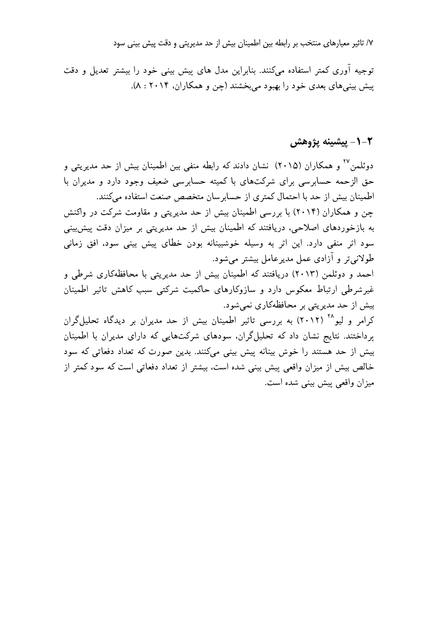٧/ تاثیر معیارهای منتخب بر رابطه بین اطمینان بیش از حد مدیریتی و دقت پیش بینی سود

توجیه آوری کمتر استفاده میکنند. بنابراین مدل های پیش بینی خود را بیشتر تعدیل و دقت پیش بینیهای بعدی خود را بهبود میبخشند (چن و همکاران، ۲۰۱۴ : ۸).

## 1-۲- ييشينه پژوهش

دوئلمن ٔ٬ و همکاران (۲۰۱۵) نشان دادند که رابطه منفی بین اطمینان بیش از حد مدیریتی و حق الزحمه حسابرسی برای شرکتهای با کمیته حسابرسی ضعیف وجود دارد و مدیران با اطمینان بیش از حد با احتمال کمتری از حسابر سان متخصص صنعت استفاده میکنند. چن و همکاران (۲۰۱۴) با بررسی اطمینان بیش از حد مدیریتی و مقاومت شرکت در واکنش به بازخوردهای اصلاحی، دریافتند که اطمینان بیش از حد مدیریتی بر میزان دقت پیش بینی سود اثر منفی دارد. این اثر به وسیله خوشبینانه بودن خطای پیش بینی سود، افق زمانی طولاني تر و آزادي عمل مدير عامل بيشتر مي شود. احمد و دوئلمن (۲۰۱۳) دریافتند که اطمینان بیش از حد مدیریتی با محافظهکاری شرطی و غیرشرطی ارتباط معکوس دارد و سازوکارهای حاکمیت شرکتی سبب کاهش تاثیر اطمینان بیش از حد مدیریتی بر محافظهکاری نمی شود. کرامر و لیو ۲<sup>۰۲</sup> (۲۰۱۲) به بررسی تاثیر اطمینان بیش از حد مدیران بر دیدگاه تحلیلگران پرداختند. نتایج نشان داد که تحلیلگران، سودهای شرکتهایی که دارای مدیران با اطمینان بیش از حد هستند را خوش بینانه پیش بینی میکنند. بدین صورت که تعداد دفعاتی که سود خالص بیش از میزان واقعی پیش بینی شده است، بیشتر از تعداد دفعاتی است که سود کمتر از ميزان واقعي پيش بيني شده است.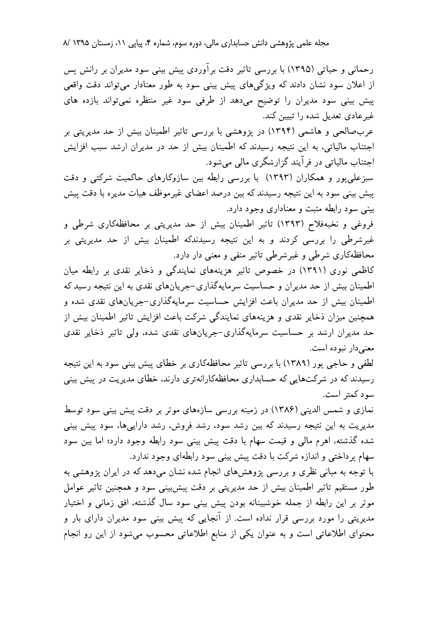**مجله علمی پژوهشی دانش حسابداری مالی، دوره سوم،** شما

سوم، شماره ۴، پیاپی ۱۱، زمستان ۱۳۹۵ /۸<br>پیش بینی سود مدیران بر رانش پس<br>به طور معنادار میتواند دقت واقعی<br>ود غیر منتظره نمیتواند بازده های<br>اثیر اطمینان بیش از حد مدیریتی بر رحمانی و حیاتی (۱۳۹۵) با بررسی تاثیر دقت برآوردی پیش بینی سود مدیران بر رانش پس از اعلان سود نشان دادند که ویژگیهای پیش بینی سود به طور معنادار میتواند دقت واقعی پیش بینی سود مدیران را توضیح میدهد از طرفی سود غیر منتظره نمیتواند بازده های غیر عادی تعدیل شده را تبیین کند.

عربِ صالحي و هاشمي (١٣٩۴) در يژوهشي با بررسي تاثير اطمينان بيش از حد مديريتي بر اجتناب مالیاتی، به این نتیجه رسیدند که اطمینان بیش از حد در مدیران ارشد سبب افزایش اجتناب مالیاتی در فرآیند گزارشگری مال<sub>ی</sub> میشود.

سبزعلی پور و همکاران (۱۳۹۳) با بررسی رابطه بین سازوکارهای حاکمیت شرکتی و دقت ييش بيني سود به اين نتيجه رسيدند كه بين درصد اعضاي غيرموظف هيات مديره با دقت پيش بینی سود رابطه مثبت و معناداری وجود دارد.

فروغی و نخبهفلاح (۱۳۹۳) تاثیر اطمینان بیش از حد مدیریتی بر محافظهکاری شرطی و غیرشرطی را بررسی کردند و به این نتیجه رسیدندکه اطمینان بیش از حد مدیریتی بر محافظهکاری شرطی و غیرشرطی تاثیر منفی و معنی دار دارد.

کاظمی نوری (۱۳۹۱) در خصوص تاثیر هزینههای نمایندگی و ذخایر نقدی بر رابطه میان اطمینان بیش از حد مدیران و حساسیت سرمایهگذاری–جریانهای نقدی به این نتیجه رسید که اطمینان بیش از حد مدیران باعث افزایش حساسیت سرمایهگذاری–جریانهای نقدی شده و همچنین میزان ذخایر نقدی و هزینههای نمایندگی شرکت باعث افزایش تاثیر اطمینان بیش از حد مدیران ارشد بر حساسیت سرمایهگذاری–جریانهای نقدی شده، ولی تاثیر ذخایر نقدی معنىدار نبوده است.

لطفی و حاجی پور (۱۳۸۹) با بررسی تاثیر محافظهکاری بر خطای پیش بینی سود به این نتیجه رسیدند که در شرکتهایی که حسابداری محافظهکارانهتری دارند، خطای مدیریت در پیش بینی سود کمتر است.

نمازي و شمس الديني (١٣٨۶) در زمينه بررسي سازههاي موثر بر دقت پيش بيني سود توسط مدیریت به این نتیجه رسیدند که بین رشد سود، رشد فروش، رشد داراییها، سود پیش بینی شده گذشته، اهرم مالی و قیمت سهام با دقت پیش بینی سود رابطه وجود دارد؛ اما بین سود سهام پرداختی و اندازه شرکت با دقت پیش بینی سود رابطهای وجود ندارد.

با توجه به مبانی نظری و بررسی پژوهشهای انجام شده نشان میدهد که در ایران پژوهشی به طور مستقیم تاثیر اطمینان بیش از حد مدیریتی بر دقت پیشبینی سود و همچنین تاثیر عوامل موثر بر اين رابطه از جمله خوشبينانه بودن پيش بيني سود سال گذشته، افق زماني و اختيار مدیریتی را مورد بررسی قرار نداده است. از آنجایی که پیش بینی سود مدیران دارای بار و محتوای اطلاعاتی است و به عنوان یکی از منابع اطلاعاتی محسوب میشود از این رو انجام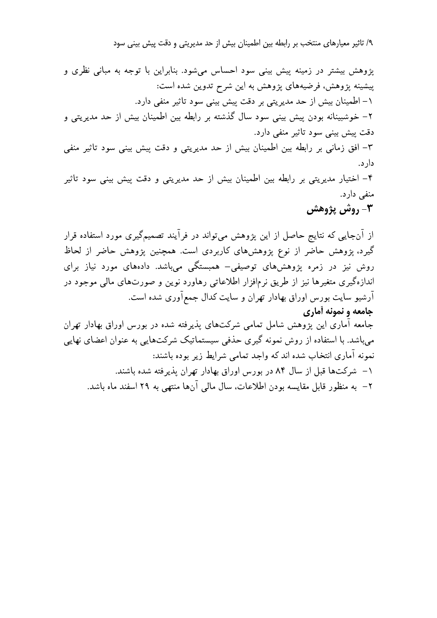۹/ تاثیر معیارهای منتخب بر رابطه بین اطمینان بیش از

, از حد مدیریتی و دقت پیش بینی سود<br>اس میشود. بنابراین با توجه به مبانی نظری و<br>ح تدوین شده است:<br>, بینی سود تاثیر منفی دارد.<br>بته بر رابطه بین اطمینان بیش از حد مدیریتی و<br>حد مدیریتی و دقت پیش بینی سود تاثیر منفی پژوهش بیشتر در زمینه پیش بینی سود احساس میشود. بنابراین با توجه به مبانی نظری و پیشینه پژوهش، فرضیههای پژوهش به این شرح تدوین شده است: \– اطمينان بيش از حد مدير يتي بر دقت پيش بيني سود تاثير منفي دارد. ۲ – خوشبینانه بودن پیش بینی سود سال گذشته بر رابطه بین اطمینان بیش از حد مدیریتی و دقت پیش بینی سود تاثیر منفی دارد. ۳– افق زمانی بر رابطه بین اطمینان بیش از حد مدیریتی و دقت پیش بینی سود تاثیر منفی دار د. ۴– اختیار مدیریتی بر رابطه بین اطمینان بیش از حد مدیریتی و دقت پیش بینی سود تاثیر ۱– اطمینان بیش از حد مدیریتی بر دقت پیش بینی سود<br>۲– فوشبینانه بودن پیش بینی سود سال گذشته بر رابط<br>دقت پیش بینی سود تاثیر منفی دارد.<br>۳– افق زمانی بر رابطه بین اطمینان بیش از حد مدیریتا<br>۴– اختیار مدیریتی بر رابطه بین اطمینا

۲– خوشبينانه بودن پيش بينى سود سال گذشته بر رابطه بين اطمينان بيش از حد مديريتى و<br>دقت پيش بينى سود تاثير منفى دارد.<br>۲– افق زمانى بر رابطه بين اطمينان بيش از حد مديريتى و دقت پيش بينى سود تاثير منفى<br>۴– اختيار مديريتى بر را گیرد، پژوهش حاضر از نوع پژوهشهای کاربردی است. همچنین پژوهش حاضر از لحاظ روش نیز در زمره پژوهشهای توصیفی– همبستگی میباشد. دادههای مورد نیاز برای اندازهگیری متغیرها نیز از طریق نرمافزار اطلاعاتی رهاورد نوین و صورتهای مالی موجود در آرشیو سایت بورس اوراق بهادار تهران و سایت کدال جمعآوری شده است. جامعه و نمونه أماري جامعه اماری این یژوهش شامل تمامی شرکتهای پذیرفته شده در بورس اوراق بهادار تهران میباشد. با استفاده از روش نمونه گیری حذفی سیستماتیک شرکتهایی به عنوان اعضای نهایی نمونه آماري انتخاب شده اند كه واجد تمامى شرايط زير بوده باشند: × شركتها قبل از سال ۸۴ در بورس اوراق بهادار تهران يذيرفته شده باشند. ۲ – به منظور قابل مقايسه بودن اطلاعات، سال مالي آنها منتهي به ۲۹ اسفند ماه باشد.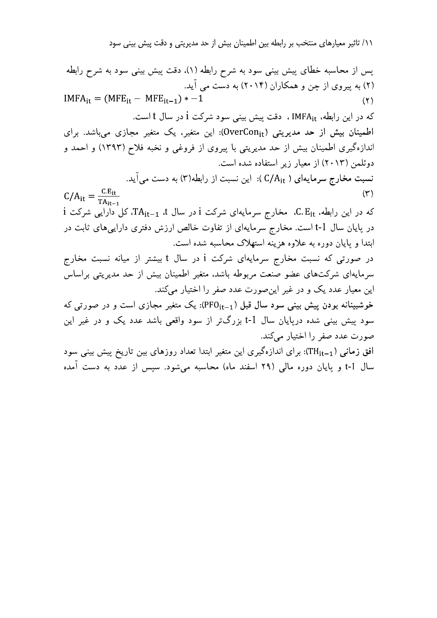١١/ تاثير معيارهاي منتخب بر رابطه بين اطمينان بيش از حد مديريتي و دقت پيش بيني سود

پس از محاسبه خطای پیش بینی سود به شرح رابطه (۱)، دقت پیش بینی سود به شرح رابطه (۲) به پیروی از چن و همکاران (۲۰۱۴) به دست می آید.  $IMFA_{it} = (MFE_{it} - MFE_{it-1}) * -1$  $(\Upsilon)$ كه در اين رابطه، IMFA<sub>it</sub> ، دقت پيش بيني سود شركت i در سال t است. اطمینان بیش از حد مدیریتی (OverCon<sub>it</sub>): این متغیر، یک متغیر مجازی میباشد. برای اندازهگیری اطمینان بیش از حد مدیریتی با پیروی از فروغی و نخبه فلاح (۱۳۹۳) و احمد و دوئلمن (۲۰۱۳) از معیار زیر استفاده شده است. نسبت مخارج سرمایهای ( C/A<sub>it</sub> ): این نسبت از رابطه(۳) به دست می[ید.  $C/A_{it} = \frac{C.E_{it}}{TA_{it-1}}$  $(\tau)$ که در این رابطه، C. E<sub>it،</sub> مخارج سرمایهای شرکت i در سال TA<sub>it–1</sub>، کل دارایی شرکت i در پایان سال t-1 است. مخارج سرمایهای از تفاوت خالص ارزش دفتری داراییهای ثابت در ابتدا و پایان دوره به علاوه هزینه استهلاک محاسبه شده است. در صورتی که نسبت مخارج سرمایهای شرکت i در سال t بیشتر از میانه نسبت مخارج سرمایهای شرکتهای عضو صنعت مربوطه باشد، متغیر اطمینان بیش از حد مدیریتی براساس این معیار عدد یک و در غیر این صورت عدد صفر را اختیار می کند. خوشبینانه بودن پیش بینی سود سال قبل (PFO<sub>it–1</sub>): یک متغیر مجازی است و در صورتی که سود پیش بینی شده درپایان سال t-1 بزرگتر از سود واقعی باشد عدد یک و در غیر این صورت عدد صفر را اختيار مي كند. افق زمانی (TH<sub>it–1</sub>): برای اندازهگیری این متغیر ابتدا تعداد روزهای بین تاریخ پیش بینی سود سال t-1 و پایان دوره مالی (۲۹ اسفند ماه) محاسبه می شود. سیس از عدد به دست آمده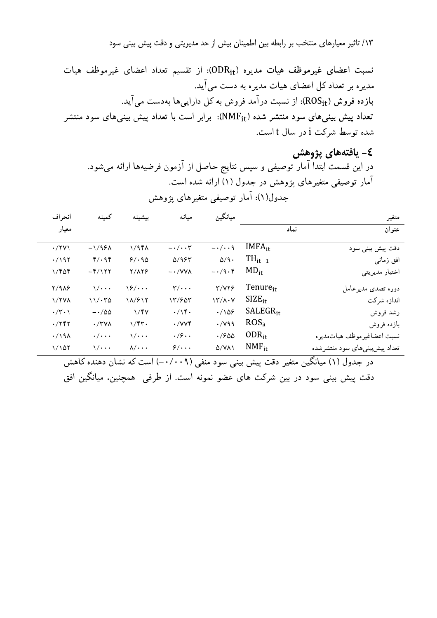١٣/ تاثير معيارهاي منتخب بر رابطه بين اطمينان بيش از حد مديريتي و دقت پيش بيني سود

نسبت اعضای غیرموظف هیات مدیره (ODR<sub>it</sub>): از تقسیم تعداد اعضای غیرموظف هیات مدیره بر تعداد کل اعضای هیات مدیره به دست می آید. بازده فروش (ROS<sub>it</sub>): از نسبت درآمد فروش به کل داراییها بهدست میآید. تعداد پیش بینیهای سود منتشر شده (NMF<sub>it</sub>): برابر است با تعداد پیش بینیهای سود منتشر شده توسط شركت i در سال t است.

٤- يافتەهاي يژوهش در این قسمت ابتدا آمار توصیفی و سپس نتایج حاصل از آزمون فرضیهها ارائه میشود. آمار توصیفی متغیرهای یژوهش در جدول (۱) ارائه شده است. جدول(۱): آمار توصیفی متغیرهای پژوهش

| انحر اف              | كمينه                                        | ببشبنه                     | مىانە                          | ميانگين                |                      | متغير                        |
|----------------------|----------------------------------------------|----------------------------|--------------------------------|------------------------|----------------------|------------------------------|
| معيار                |                                              |                            |                                |                        | نماد                 | عنوان                        |
| $\cdot$ /۲۷ $\wedge$ | $-\frac{1}{9}$                               | 1/96                       | $-\cdot/\cdot\cdot$ ۳          | $-\cdot/\cdot\cdot$ ٩  | $IMFA_{it}$          | دقت پیش بینی سود             |
| $\cdot$ /192         | $\mathfrak{f}/\cdot\mathfrak{q}\mathfrak{f}$ | 9/190                      | $\Delta$ /983                  | $\Delta/\mathcal{A}$ . | $TH_{it-1}$          | افق زمانبي                   |
| ۱/۴۵۴                | $-\frac{\gamma}{\gamma}$                     | Y/AYF                      | $ \cdot$ / $V$ $\vee$ $\wedge$ | $-\cdot/9\cdot f$      | $MD_{it}$            | اختيار مديريتي               |
| <b>7/918</b>         | $\sqrt{\cdot \cdot \cdot}$                   | $\sqrt{2}/\cdots$          | $\mathbf{y}/\cdots$            | Y/YY9                  | Tenure <sub>it</sub> | دوره تصدى مديرعامل           |
| $\frac{1}{1}$        | 11/170                                       | $\frac{1}{2}$              | Y/200                          | $Y'/A \cdot V$         | $SIZE_{it}$          | اندازه شركت                  |
| $\cdot$ /٣ $\cdot$ \ | $-\cdot/\Delta\Delta$                        | 1/fV                       | .7                             | $\cdot/\sqrt{25}$      | $SALEGR_{it}$        | رشد فروش                     |
| $\cdot$ /۲۴۲         | $\cdot$ /۳۷۸                                 | $1/\gamma$                 | $\cdot$ /VV۴                   | $\cdot$ / $\vee$ 99    | $ROS_{it}$           | بازده فروش                   |
| $\cdot$ /198         | $\cdot/\cdot\cdot\cdot$                      | $\sqrt{\cdot \cdot \cdot}$ | $\cdot$ /9 $\cdot$ .           | .7900                  | $ODR_{it}$           | نسبت اعضاغيرموظف هياتمديره   |
| 1/107                | \/                                           | $\lambda/\cdots$           | $9/4$                          | $Q(Y \wedge Y)$        | $NMF_{\text{it}}$    | تعداد پیشبییهای سود منتشرشده |

در جدول (۱) میانگین متغیر دقت پیش بینی سود منفی (۰/۰۰۹–) است که نشان دهنده کاهش دقت پیش بینی سود در بین شرکت های عضو نمونه است. از طرفی ِ همچنین، میانگین افق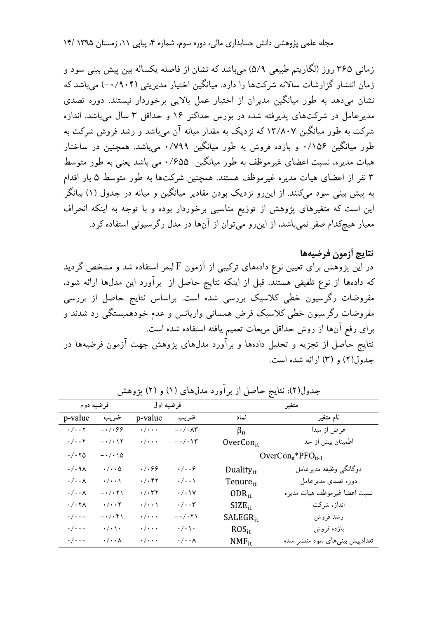زمانی ۳۶۵ روز (لگاریتم طبیعی ۵/۹) میباشد که نشان از فاصله یکساله بین پیش بینی سود و زمان انتشار گزارشات سالانه شرکتها را دارد. میانگین اختیار مدیریتی (۰/۹۰۴) میباشد که نشان میٖدهد به طور میانگین مدیران از اختیار عمل بالایی برخوردار نیستند. دوره تصدی مدیر عامل در شرکتهای پذیر فته شده در بورس حداکثر ۱۶ و حداقل ۳ سال می باشد. اندازه شرکت به طور میانگین ۱۳/۸۰۷ که نزدیک به مقدار میانه آن میباشد و رشد فروش شرکت به طور میانگین ۰/۱۵۶ و بازده فروش به طور میانگین ۰/۷۹۹ میباشد. همچنین در ساختار هیات مدیره، نسبت اعضای غیرموظف به طور میانگین ۰/۶۵۵ می باشد یعنی به طور متوسط ۳ نفر از اعضای هیات مدیره غیرموظف هستند. همچنین شرکتها به طور متوسط ۵ بار اقدام به پیش بینی سود میکنند. از این رو نزدیک بودن مقادیر میانگین و میانه در جدول (۱) بیانگر این است که متغیرهای پژوهش از توزیع مناسبی برخوردار بوده و با توجه به اینکه انحراف معیار هیچکدام صفر نمی باشد، از این رو می توان از آنها در مدل رگرسیونی استفاده کرد.

نتايج أزمون فرضيهها در این پژوهش برای تعیین نوع دادههای ترکیبی از آزمون F لیمر استفاده شد و مشخص گردید که دادهها از نوع تلفیقی هستند. قبل از اینکه نتایج حاصل از برآورد این مدلها ارائه شود، مفروضات رگرسیون خطی کلاسیک بررسی شده است. براساس نتایج حاصل از بررسی مفروضات رگرسیون خطی کلاسیک فرض همسانی واریانس و عدم خودهمبستگی رد شدند و براي رفع آنها از روش حداقل مربعات تعميم يافته استفاده شده است. نتایج حاصل از تجزیه و تحلیل دادهها و برآورد مدل۵عای پژوهش جهت آزمون فرضیهها در جدول(٢) و (٣) ارائه شده است.

| فرضيه دوم                               |                                        | فرضيه اول               |                                   | متغير                     |                                |  |
|-----------------------------------------|----------------------------------------|-------------------------|-----------------------------------|---------------------------|--------------------------------|--|
| p-value                                 | ضريب                                   | p-value                 | ضريب                              | نماد                      | نام متغیر                      |  |
| $\cdot/\cdot\cdot$ ۲                    | $-\cdot/\cdot$ ۶۶                      | $\cdot/\cdot\cdot\cdot$ | $-\cdot/\cdot\wedge\Upsilon$      | $\beta_0$                 | عرض از مبدا                    |  |
| $\cdot/\cdot\cdot$ ۴                    | $-\cdot/\cdot$ \ ۲                     | $\cdot/\cdot\cdot\cdot$ | $-\cdot/\cdot\setminus\mathbf{y}$ | $OverCon_{it}$            | اطمینان بیش از حد              |  |
| $\cdot$ / $\cdot$ $\uparrow$ $\uparrow$ | $-\cdot/\cdot\setminus\Delta$          |                         |                                   | $OverCon_{it}*PFO_{it-1}$ |                                |  |
| $\cdot/\cdot$ ٩٨                        | $\cdot/\cdot\cdot\Delta$               | $\cdot/\cdot$ ۶۶        | $\cdot/\cdot\cdot$ ۶              | Duality $_{it}$           | دوگانگىي وظيفه مديرعامل        |  |
| $\cdot/\cdot\cdot\wedge$                | $\cdot/\cdot\cdot$ \                   | $\cdot/\cdot$ ۴۲        | $\cdot/\cdot\cdot\backslash$      | Tenure <sub>it</sub>      | دوره تصدى مديرعامل             |  |
| $\cdot/\cdot\cdot$ $\wedge$             | $- \cdot / \cdot \mathbf{Y} \setminus$ | $\cdot/\cdot$ ۳۲        | $\cdot$ / $\cdot$                 | $ODR_{it}$                | نسبت اعضا غيرموظف هيات مديره   |  |
| $\cdot$ / $\cdot$ ۲۸                    | $\cdot/\cdot\cdot$ ۲                   | $\cdot/\cdot\cdot$      | $\cdot/\cdot\cdot$ ۳              | $SIZE_{it}$               | اندازه شركت                    |  |
| $\cdot/\cdot\cdot\cdot$                 | $-\cdot/\cdot$ ۴۱                      | $\cdot/\cdot\cdot\cdot$ | $-\cdot/\cdot$ ۴۱                 | $SALEGR_{it}$             | رشد فروش                       |  |
| $\cdot / \cdot \cdot$                   | $\cdot/\cdot\setminus\cdot$            | $\cdot / \cdot \cdot$   | $\cdot/\cdot$ \ $\cdot$           | $ROS_{it}$                | بازده فروش                     |  |
| $\cdot/\cdot\cdot\cdot$                 | $\cdot/\cdot\cdot\wedge$               | $\cdot/\cdot\cdot\cdot$ | $\cdot/\cdot\cdot\wedge$          | $NMF_{it}$                | تعدادپیش بینیهای سود منتشر شده |  |

جدول(۲): نتایج حاصل از بر آورد مدلهای (۱) و (۲) یژوهش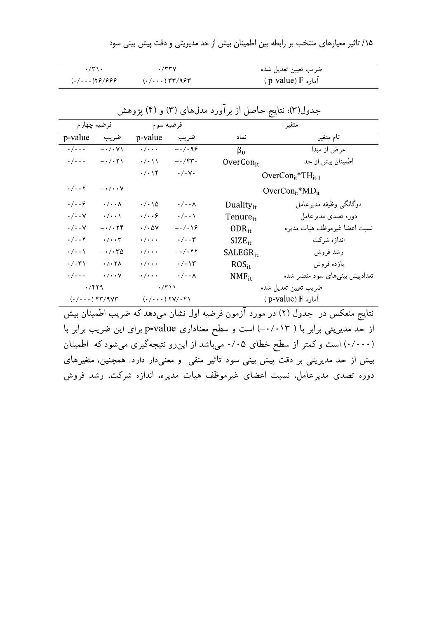| $\cdot$ /۳۱ $\cdot$ | $\cdot$ /۳۳۷                                                                                                            | ضريب تعيين تعديل شده     |
|---------------------|-------------------------------------------------------------------------------------------------------------------------|--------------------------|
| (0.7001)            | $(0.700)$ $\uparrow$ $\uparrow$ $\uparrow$ $\uparrow$ $\uparrow$ $\uparrow$ $\uparrow$ $\uparrow$ $\uparrow$ $\uparrow$ | ( p-value) $F$ اماره $F$ |

| فرضيه چهارم                                                                                                                                                                                                                                                                                                                                                |                                          | فرضيه سوم                    |                                      | متغير                          |                                |
|------------------------------------------------------------------------------------------------------------------------------------------------------------------------------------------------------------------------------------------------------------------------------------------------------------------------------------------------------------|------------------------------------------|------------------------------|--------------------------------------|--------------------------------|--------------------------------|
| p-value                                                                                                                                                                                                                                                                                                                                                    | ضريب                                     | p-value                      | ضريب                                 | نماد                           | نام متغیر                      |
| $\cdot/\cdot\cdot\cdot$                                                                                                                                                                                                                                                                                                                                    | $-\cdot/\cdot$ Y \                       | $\cdot/\cdot\cdot\cdot$      | $-\cdot/\cdot$ 96                    | $\beta_0$                      | عرض از مبدا                    |
| $\cdot/\cdot\cdot\cdot$                                                                                                                                                                                                                                                                                                                                    | $-\cdot/\cdot$ ۲ \                       | $\cdot/\cdot$ \ \            | $-\cdot$ /۴۳۰                        | OverCon $_{it}$                | اطمينان بيش از حد              |
|                                                                                                                                                                                                                                                                                                                                                            |                                          | $\cdot/\cdot\setminus f$     | $\cdot/\cdot$ Y $\cdot$              |                                | $OverCon_{it}^*TH_{it-1}$      |
| $\cdot/\cdot\cdot$ ۲                                                                                                                                                                                                                                                                                                                                       | $-\cdot/\cdot\cdot$ $\vee$               |                              |                                      | $OverCon_{it}^*MD_{it}$        |                                |
| $\cdot/\cdot\cdot$ ۶                                                                                                                                                                                                                                                                                                                                       | $\cdot/\cdot\cdot$ $\wedge$              | $\cdot/\cdot\setminus\Delta$ | $\cdot/\cdot\cdot$ $\wedge$          | Duality $_{i}$                 | دوگانگى وظيفه مديرعامل         |
| $\cdot/\cdot\cdot$ Y                                                                                                                                                                                                                                                                                                                                       | $\cdot/\cdot\cdot$                       | $\cdot/\cdot\cdot$ ۶         | $\cdot/\cdot\cdot\backslash$         | Tenure <sub>it</sub>           | دوره تصدى مديرعامل             |
| $\cdot/\cdot\cdot$ Y                                                                                                                                                                                                                                                                                                                                       | $ \cdot$ / $\cdot$ $\uparrow$ $\uparrow$ | $\cdot/\cdot$ ۵۷             | $-\cdot/\cdot\backslash\mathfrak{S}$ | $ODR_{it}$                     | نسبت اعضا غيرموظف هيات مديره   |
| $\cdot/\cdot\cdot$ ۴                                                                                                                                                                                                                                                                                                                                       | $\cdot/\cdot\cdot$ ۳                     | $\cdot/\cdot\cdot\cdot$      | $\cdot/\cdot\cdot$ ۳                 | $SIZE_{it}$                    | اندازه شركت                    |
| $\cdot/\cdot\cdot$                                                                                                                                                                                                                                                                                                                                         | $- \cdot / \cdot r_0$                    | $\cdot/\cdot\cdot\cdot$      | $-\cdot/\cdot$ ۴۲                    | $SALEGR_{it}$                  | رشد فروش                       |
| $\cdot/\cdot$ ۳۱                                                                                                                                                                                                                                                                                                                                           | $\cdot$ / $\cdot$ $\uparrow$ $\wedge$    | $\cdot/\cdot\cdot\cdot$      | $\cdot/\cdot$ \۳                     | ROS <sub>it</sub>              | بازده فروش                     |
| $\cdot/\cdot\cdot\cdot$                                                                                                                                                                                                                                                                                                                                    | $\cdot/\cdot\cdot$ Y                     | $\cdot/\cdot\cdot\cdot$      | $\cdot/\cdot\cdot\wedge$             | $NMF_{it}$                     | تعدادپیش بینیهای سود منتشر شده |
| $\cdot$ /419                                                                                                                                                                                                                                                                                                                                               |                                          | $\cdot$ /٣١١                 |                                      | ضريب تعيين تعديل شده           |                                |
| $(./\cdots)$ $^{\circ}$ $^{\circ}$ $^{\circ}$ $^{\circ}$ $^{\circ}$ $^{\circ}$ $^{\circ}$ $^{\circ}$ $^{\circ}$ $^{\circ}$ $^{\circ}$ $^{\circ}$ $^{\circ}$ $^{\circ}$ $^{\circ}$ $^{\circ}$ $^{\circ}$ $^{\circ}$ $^{\circ}$ $^{\circ}$ $^{\circ}$ $^{\circ}$ $^{\circ}$ $^{\circ}$ $^{\circ}$ $^{\circ}$ $^{\circ}$ $^{\circ}$ $^{\circ}$ $^{\circ}$ $^$ |                                          | $(\cdot/\cdots)$ ۲۷/۰۴۱      |                                      | ( p-value) $F_{\rm}$ آماره $F$ |                                |

جدول(۳): نتایج حاصل از برآورد مدلهای (۳) و (۴) پژوهش

نتایج منعکس در جدول (۲) در مورد آزمون فرضیه اول نشان میدهد که ضریب اطمینان بیش از حد مدیریتی برابر با ( ۰/۰۱۳) است و سطح معناداری p-value برای این ضریب برابر با (۰/۰۰۰) است و کمتر از سطح خطای ۰/۰۵ میباشد از اینرو نتیجهگیری میشود که اطمینان بیش از حد مدیریتی بر دقت پیش بینی سود تاثیر منفی و معنیدار دارد. همچنین، متغیرهای دوره تصدی مدیرعامل، نسبت اعضای غیرموظف هیات مدیره، اندازه شرکت، رشد فروش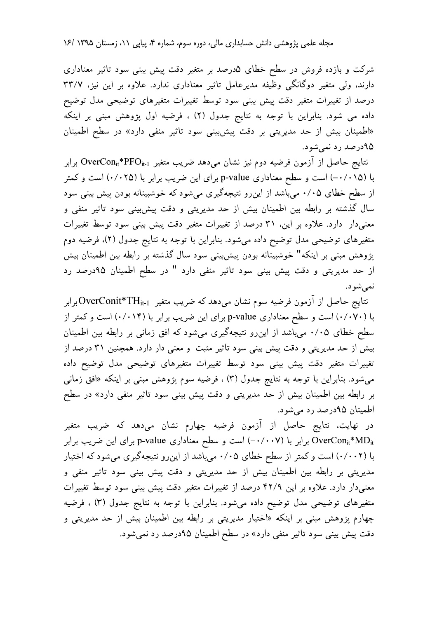شرکت و بازده فروش در سطح خطای ۵درصد بر متغیر دقت پیش بینی سود تاثیر معناداری دارند، ولی متغیر دوگانگی وظیفه مدیرعامل تاثیر معناداری ندارد. علاوه بر این نیز، ۳۳/۷ درصد از تغییرات متغیر دقت پیش بینی سود توسط تغییرات متغیرهای توضیحی مدل توضیح داده می شود. بنابراین با توجه به نتایج جدول (٢) ، فرضیه اول پژوهش مبنی بر اینکه «اطمینان بیش از حد مدیریتی بر دقت پیش بینی سود تاثیر منفی دارد» در سطح اطمینان ۹۵درصد رد نمی شود.

نتايج حاصل از آزمون فرضيه دوم نيز نشان مىدهد ضريب متغير OverCon<sub>i</sub>\*PFO<sub>it-l</sub> برابر با (۰/۰۱۵–) است و سطح معناداری p-value برای این ضریب برابر با (۰/۰۲۵) است و کمتر از سطح خطای ۰/۰۵ میباشد از این رو نتیجهگیری میشود که خوشبینانه بودن پیش بینی سود سال گذشته بر رابطه بین اطمینان بیش از حد مدیریتی و دقت پیشبینی سود تاثیر منفی و معنیدار دارد. علاوه بر این، ۳۱ درصد از تغییرات متغیر دقت پیش بینی سود توسط تغییرات متغیرهای توضیحی مدل توضیح داده میشود. بنابراین با توجه به نتایج جدول (۲)، فرضیه دوم پژوهش مبنی بر اینکه" خوشبینانه بودن پیشبینی سود سال گذشته بر رابطه بین اطمینان بیش از حد مدیریتی و دقت پیش بینی سود تاثیر منفی دارد " در سطح اطمینان ۹۵درصد رد نمي شود.

نتايج حاصل از آزمون فرضيه سوم نشان مىدهد كه ضريب متغير OverConit\*TH<sub>it-l</sub>. برابر با (۰/۰۷۰) است و سطح معناداری p-value برای این ضریب برابر با (۰/۰۱۴) است و کمتر از سطح خطای ۰/۰۵ میباشد از این رو نتیجهگیری میشود که افق زمانی بر رابطه بین اطمینان بیش از حد مدیریتی و دقت پیش بینی سود تاثیر مثبت و معنی دار دارد. همچنین ۳۱ درصد از تغییرات متغیر دقت پیش بینی سود توسط تغییرات متغیرهای توضیحی مدل توضیح داده میشود. بنابراین با توجه به نتایج جدول (۳) ، فرضیه سوم پژوهش مبنی بر اینکه «افق زمانی بر رابطه بین اطمینان بیش از حد مدیریتی و دقت پیش بینی سود تاثیر منفی دارد» در سطح اطمينان ۹۵درصد رد مي شود.

در نهایت، نتایج حاصل از آزمون فرضیه چهارم نشان میدهد که ضریب متغیر OverCon<sub>it</sub>\*MD<sub>it</sub> برابر با (۰/۰۰۷–) است و سطح معناداری p-value برای این ضریب برابر با (۰/۰۰۲) است و کمتر از سطح خطای ۰/۰۵ میباشد از اینرو نتیجهگیری میشود که اختیار مدیریتی بر رابطه بین اطمینان بیش از حد مدیریتی و دقت پیش بینی سود تاثیر منفی و معنیدار دارد. علاوه بر این ۴۲/۹ درصد از تغییرات متغیر دقت پیش بینی سود توسط تغییرات متغیرهای توضیحی مدل توضیح داده میشود. بنابراین با توجه به نتایج جدول (۳) ، فرضیه چهارم پژوهش مبنی بر اینکه «اختیار مدیریتی بر رابطه بین اطمینان بیش از حد مدیریتی و دقت پیش بینی سود تاثیر منفی دارد» در سطح اطمینان ۹۵درصد رد نمیشود.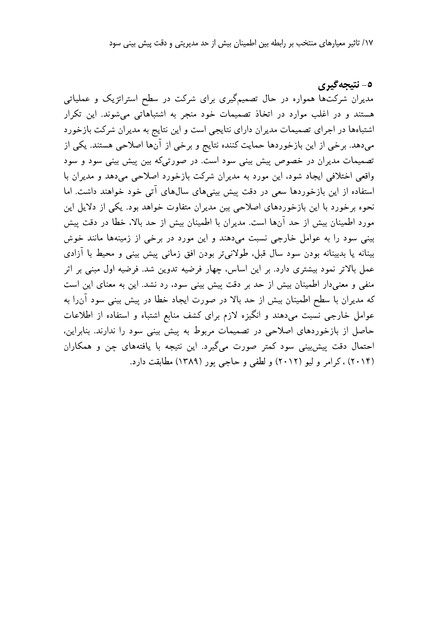١٧/ تاثير معيارهاي منتخب بر رابطه بين اطمينان بيش از حد مديريتي و دقت پيش بيني سود

٥- نتيجه گيري مدیران شرکتها همواره در حال تصمیمگیری برای شرکت در سطح استراتژیک و عملیاتی هستند و در اغلب موارد در اتخاذ تصمیمات خود منجر به اشتباهاتی میشوند. این تکرار اشتباهها در اجرای تصمیمات مدیران دارای نتایجی است و این نتایج به مدیران شرکت بازخورد میدهد. برخی از این بازخوردها حمایت کننده نتایج و برخی از آنها اصلاحی هستند. یکی از تصمیمات مدیران در خصوص پیش بینی سود است. در صورتیکه بین پیش بینی سود و سود واقعی اختلافی ایجاد شود، این مورد به مدیران شرکت بازخورد اصلاحی می دهد و مدیران با استفاده از این بازخوردها سعی در دقت پیش بینیهای سالهای آتی خود خواهند داشت. اما نحوه برخورد با این بازخوردهای اصلاحی بین مدیران متفاوت خواهد بود. یکی از دلایل این مورد اطمینان بیش از حد آنها است. مدیران با اطمینان بیش از حد بالا، خطا در دقت پیش بینی سود را به عوامل خارجی نسبت میدهند و این مورد در برخی از زمینهها مانند خوش بینانه یا بدبینانه بودن سود سال قبل، طولانیتر بودن افق زمانی پیش بینی و محیط با آزادی عمل بالاتر نمود بیشتری دارد. بر این اساس، چهار فرضیه تدوین شد. فرضیه اول مبنی بر اثر منفی و معنی دار اطمینان بیش از حد بر دقت پیش بینی سود، رد نشد. این به معنای این است که مدیران با سطح اطمینان بیش از حد بالا در صورت ایجاد خطا در پیش بینی سود آن را به عوامل خارجی نسبت میدهند و انگیزه لازم برای کشف منابع اشتباه و استفاده از اطلاعات حاصل از بازخوردهای اصلاحی در تصمیمات مربوط به پیش بینی سود را ندارند. بنابراین، احتمال دقت پیش بینی سود کمتر صورت میگیرد. این نتیجه با یافتههای چن و همکاران (۲۰۱۴) ، کرامر و لیو (۲۰۱۲) و لطفی و حاجی پور (۱۳۸۹) مطابقت دارد.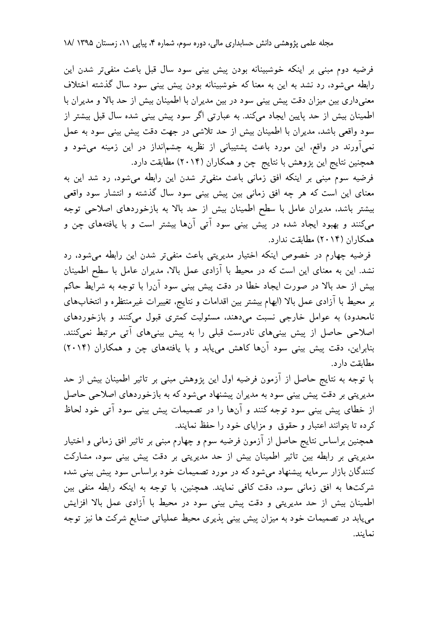فرضیه دوم مبنی بر اینکه خوشبینانه بودن پیش بینی سود سال قبل باعث منفیتر شدن این رابطه می شود، رد نشد به این به معنا که خوشبینانه بودن پیش بینی سود سال گذشته اختلاف معنی داری بین میزان دقت پیش بینی سود در بین مدیران با اطمینان بیش از حد بالا و مدیران با اطمینان بیش از حد پایین ایجاد میکند. به عبارتی اگر سود پیش بینی شده سال قبل بیشتر از سود واقعی باشد، مدیران با اطمینان بیش از حد تلاشی در جهت دقت پیش بینی سود به عمل نمیآورند در واقع، این مورد باعث پشتیبانی از نظریه چشمانداز در این زمینه میشود و همچنین نتایج این پژوهش با نتایج چن و همکاران (۲۰۱۴) مطابقت دارد.

فرضیه سوم مبنی بر اینکه افق زمانی باعث منفیتر شدن این رابطه میشود، رد شد این به معنای این است که هر چه افق زمانی بین پیش بینی سود سال گذشته و انتشار سود واقعی بیشتر باشد، مدیران عامل با سطح اطمینان بیش از حد بالا به بازخوردهای اصلاحی توجه میکنند و بهبود ایجاد شده در پیش بینی سود آتی آنها بیشتر است و با یافتههای چن و همکاران (۲۰۱۴) مطابقت ندارد.

فرضیه چهارم در خصوص اینکه اختیار مدیریتی باعث منفی تر شدن این رابطه می شود، رد نشد. این به معنای این است که در محیط با آزادی عمل بالا، مدیران عامل با سطح اطمینان بیش از حد بالا در صورت ایجاد خطا در دقت پیش بینی سود آنLا با توجه به شرایط حاکم بر محیط با آزادی عمل بالا (ابهام بیشتر بین اقدامات و نتایج، تغییرات غیر منتظره و انتخابهای نامحدود) به عوامل خارجي نسبت مي دهند، مسئوليت كمترى قبول مي كنند و بازخوردهاي اصلاحی حاصل از پیش بینیهای نادرست قبلی را به پیش بینیهای آتی مرتبط نمیکنند. بنابراین، دقت پیش بینی سود آنها کاهش می یابد و با یافتههای چن و همکاران (۲۰۱۴) مطابقت دار د.

با توجه به نتایج حاصل از آزمون فرضیه اول این پژوهش مبنی بر تاثیر اطمینان بیش از حد مدیریتی بر دقت پیش بینی سود به مدیران پیشنهاد میشود که به بازخوردهای اصلاحی حاصل از خطای پیش بینی سود توجه کنند و آنها را در تصمیمات پیش بینی سود آتی خود لحاظ کرده تا بتوانند اعتبار و حقوق و مزایای خود را حفظ نمایند.

همچنین براساس نتایج حاصل از آزمون فرضیه سوم و چهارم مبنی بر تاثیر افق زمانی و اختیار مدیریتی بر رابطه بین تاثیر اطمینان بیش از حد مدیریتی بر دقت پیش بینی سود، مشارکت کنندگان بازار سرمایه پیشنهاد می شود که در مورد تصمیمات خود براساس سود پیش بینی شده شرکتها به افق زمانی سود، دقت کافی نمایند. همچنین، با توجه به اینکه رابطه منفی بین اطمینان بیش از حد مدیریتی و دقت پیش بینی سود در محیط با آزادی عمل بالا افزایش مییابد در تصمیمات خود به میزان پیش بینی پذیری محیط عملیاتی صنایع شرکت ها نیز توجه نمايند.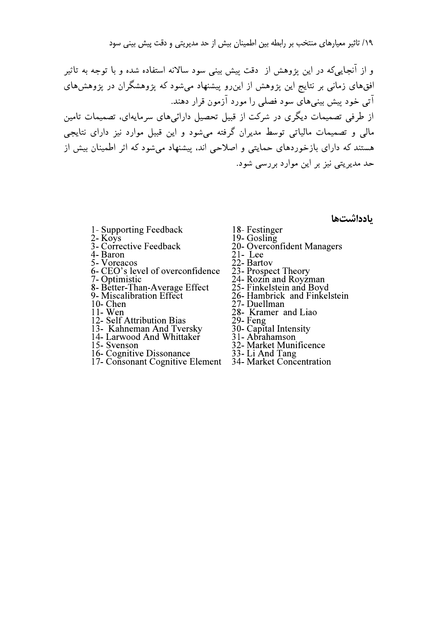۱۹/ تاثیر معیارهای منتخب بر رابطه بین اطمینان بیش از حد ا

<sub>)</sub> از حد مدیریتی و دقت پیش بینی سود<br>بنی سود سالانه استفاده شده و با توجه به تاثیر<br>پیشنهاد میشود که پژوهشگران در پژوهش های<br>مون قرار دهند.<br>تحصیل دارائیهای سرمایهای، تصمیمات تامین<br>میشود و این قبیل موارد نیز دارای نتایجی و از آنجاییمکه در این یژوهش از ًدقت پیش بینی سود سالانه استفاده شده و با توجه به تاثیر افقهای زمانی بر نتایج این پژوهش از این٫و پیشنهاد میشود که پژوهشگران در پژوهشهای آتی خود پیش بینیهای سود فصلی را مورد آزمون قرار دهند. از طرفی تصمیمات دیگری در شرکت از قبیل تحصیل دارائی های سرمایهای، تصمیمات تامین مالی و تصمیمات مالیاتی توسط مدیران گرفته می شود و این قبیل موارد نیز دارای نتایجی هستند که دارای بازخوردهای حمایتی و اصلاحی اند، پیشنهاد میشود که اثر اطمینان بیش از حد مدیریتی نیز بر این موارد بررسی شود.

- 1- Supporting Feedback 18- Festinger<br>2- Koys 19- Gosling
- 
- 3- Corrective Feedback
- 4- Baron 21- Lee<br>5- Voreacos 22- Bartov
- $\sum Z$  Bartov<br>6. CEO's lovel of overeorfdores 22. Brogneet
- 6- CEO's level of overconfidence  $23$  Prospect Theory
- 
- 8- Better-Than-Average Effect<br>9- Miscalibration Effect
- 
- 
- 12- Self Attribution Bias
- 
- 13- Kahneman And Tversky<br>14- Larwood And Whittaker
- 
- 
- 16- Cognitive Dissonance  $\frac{33}{2}$  Li And Tang<br>17. Consenent Cognitive Element 24, Morket Consen
- 17- Consonant Cognitive Element 34- Market Concentration

بادداشتها

- 
- 
- 3- Corrective Feedback 20- Overconfident Managers<br>4- Baron 21- Lee
	-
	-
	-
- To Optimistic and Table 24- Rozin and Royzman<br>
8- Better-Than-Average Effect 25- Finkelstein and Boyd
	-
- 9- Miscalibration Effect 26- Hambrick and Finkelstein<br>10- Chen<br>27- Duellman
- 10- Chen<br>11- Wen 27- Duellman<br>28- Kramer a
	- 28- Kramer and Liao<br>29- Feng<br>30- Capital Intensity
	-
	-
- 14- Larwood And Whittaker 31- Abrahamson<br>15 Sycrason 22 Morket Muniti
- $\frac{32}{2}$  Market Munificence<br>16. Cognitive Dissenses and  $\frac{32}{2}$  Li And Tang
	-
	-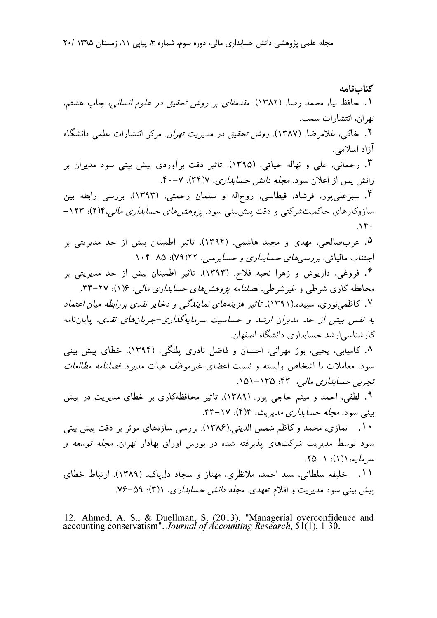كتابنامه ۱. حافظ نیا، محمد رضا. (۱۳۸۲). *مقدمهای بر روش تحقیق در علوم انسانی*، چاپ هشتم، تهران، انتشارات سمت. ۲. خاکی، غلامرضا. (۱۳۸۷). *روش تحقیق در مدیریت تهران. م*رکز انتشارات علمی دانشگاه آزاد اسلامی. ۳. رحمانی، علی و نهاله حیاتی. (۱۳۹۵). تاثیر دقت برآوردی پیش بینی سود مدیران بر رانش پس از اعلان سود. *مجله دانش حسابداری*، ۷(۳۴): ۷-۴۰. ۴. سبزعلى يور، فرشاد، قيطاسي، روح|له و سلمان رحمتي. (١٣٩٣). بررسي رابطه بين سازوکارهای حاکمیتشرکتی و دقت پیش بینی سود. ب*ژوهش های حسابداری مالی، ۱*٬۲۱۴–  $\mathcal{N}$ . ۵. عربِصالحی، مهدی و مجید هاشمی. (۱۳۹۴). تاثیر اطمینان بیش از حد مدیریتی بر اجتناب مالیاتی. بررسیهای حس*ابداری و حسابرسی*، ۲۲(۷۹): ۰۰۴-۱۰۴. ۶. فروغی، داریوش و زهرا نخبه فلاح. (۱۳۹۳). تاثیر اطمینان بیش از حد مدیریتی بر محافظه کاری شرطی و غیر شرطی. فصلنامه بژوهشرهای حسابداری مالی، ۱۶(۱): ۲۷-۴۴. ۷. کاظمه نوری، سیپده.(۱۳۹۱). تاثیر هزینههای نمایندگی و ذخایر ن*قدی بر رابطه میان اعتماد* به نفس بیش از حد مدیران ارشد و حساسیت سرمایهگذاری-جریانهای نقدی. پایاننامه کارشناسی ارشد حسابداری دانشگاه اصفهان. ۸. کامیابی، یحیی، بوژ مهرانی، احسان و فاضل نادری پلنگی. (۱۳۹۴). خطای پیش بینی سود، معاملات با اشخاص وابسته و نسبت اعضای غیر موظف هیات مدیره. فصلنامه مطالعات تجربي حسابداري مالي، ۴۳: ۱۵۱–۱۵۱. ۹. لطفی، احمد و میثم حاجی یور. (۱۳۸۹). تاثیر محافظهکاری بر خطای مدیریت در پیش بینی سود. *مجله حسابداری مدیریت*، ۱۳(۴): ۲۳-۳۳. ۰۱۰ نمازی، محمد و کاظم شمس الدینی.(۱۳۸۶). بررسی سازههای موثر بر دقت پیش بینی سود توسط مدیریت شرکتهای پذیرفته شده در بورس اوراق بهادار تهران. *مجله توسعه و*  $.70 - 1$ : (۱)) (میرماید) ۰۱۱ خلیفه سلطانی، سید احمد، ملانظری، مهناز و سجاد دل یاک. (۱۳۸۹). ارتباط خطای پیش بینی سود مدیریت و اقلام تعهدی. *مجله دانش حسابداری*، ۱(۳): ۵۹–۷۶.

12. Ahmed, A. S., & Duellman, S. (2013). "Managerial overconfidence and accounting conservatism". Journal of Accounting Research, 51(1), 1-30.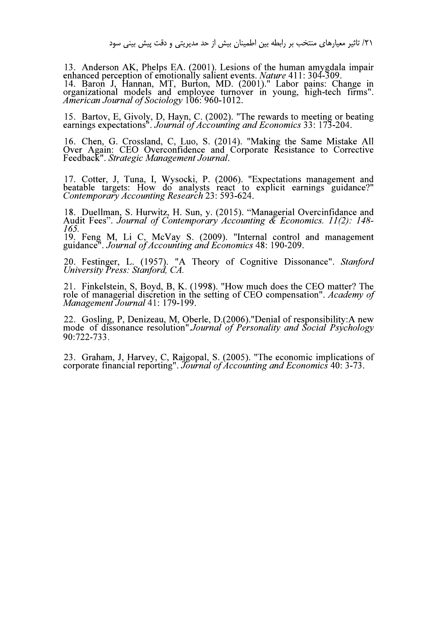) از حد مدیریتی و دقت پیش بینی سود<br>13. Anderson AK, Phelps EA. (2001).<br>21. enhanced perception of emotionally salie<br>14. Baron J, Hannan, MT, Burton, N<br>21. organizational models and employee<br>21. American Journal of Sociolo 13. Anderson AK, Phelps EA. (2001). Lesions of the human amygdala impair<br>enhanced perception of emotionally salient events. *Nature* 411: 304-309.<br>14. Baron J, Hannan, MT, Burton, MD. (2001)." Labor pains: Change in<br>organi

15. Bartov, E, Givoly, D, Hayn, C. (2002). "The rewards to meeting or beating earnings expectations". Journal of Accounting and Economics 33: 173-204.<br>16. Chen, G. Crossland, C, Luo, S. (2014). "Making the Same Mistake All

Over Again: CEO Overconfidence and Corporate Resistance to Corrective<br>Feedback". Strategic Management Journal.

17. Cotter, J, Tuna, I, Wysocki, P. (2006). "Expectations management and beatable targets: How do analysts react to explicit earnings guidance?"<br>Contemporary Accounting Research 23: 593-624.<br>18. Duellman, S. Hurwitz, H. Su

Audit Fees". Journal of Contemporary Accounting & Economics. 11(2): 148-<br>165.<br>19. Feng M, Li C, McVay S. (2009). "Internal control and management guidance". Journal of Accounting and Economics 48: 190-209.

20. Festinger, L. (1957). "A Theory of Cognitive Dissonance". Stanford University Press: Stanford, CA.<br>21. Finkelstein, S, Boyd, B, K. (1998). "How much does the CEO matter? The

role of managerial discretion in the setting of CEO compensation". Academy of Management Journal 41: 179-199.<br>22. Gosling, P, Denizeau, M, Oberle, D.(2006). "Denial of responsibility: A new

mode of dissonance resolution".Journal of Personality and Social Psychology<br>90:722-733.

 $\overline{2}$ 23. Graham, J. Harvey, C. Rajgopal, S. (2005). "The economic implications of corporate financial reporting". *Journal of Accounting and Economics* 40: 3-73.